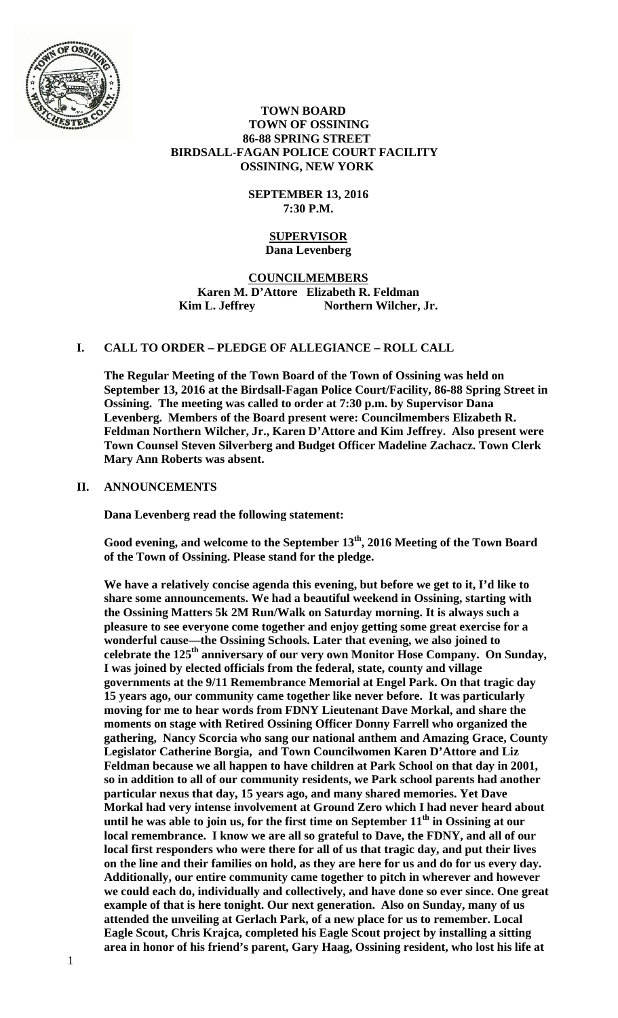

#### **TOWN BOARD TOWN OF OSSINING 86-88 SPRING STREET BIRDSALL-FAGAN POLICE COURT FACILITY OSSINING, NEW YORK**

#### **SEPTEMBER 13, 2016 7:30 P.M.**

#### **SUPERVISOR Dana Levenberg**

# **COUNCILMEMBERS Karen M. D'Attore Elizabeth R. Feldman Kim L. Jeffrey Northern Wilcher, Jr.**

# **I. CALL TO ORDER – PLEDGE OF ALLEGIANCE – ROLL CALL**

**The Regular Meeting of the Town Board of the Town of Ossining was held on September 13, 2016 at the Birdsall-Fagan Police Court/Facility, 86-88 Spring Street in Ossining. The meeting was called to order at 7:30 p.m. by Supervisor Dana Levenberg. Members of the Board present were: Councilmembers Elizabeth R. Feldman Northern Wilcher, Jr., Karen D'Attore and Kim Jeffrey. Also present were Town Counsel Steven Silverberg and Budget Officer Madeline Zachacz. Town Clerk Mary Ann Roberts was absent.** 

### **II. ANNOUNCEMENTS**

**Dana Levenberg read the following statement:** 

**Good evening, and welcome to the September 13th, 2016 Meeting of the Town Board of the Town of Ossining. Please stand for the pledge.** 

**We have a relatively concise agenda this evening, but before we get to it, I'd like to share some announcements. We had a beautiful weekend in Ossining, starting with the Ossining Matters 5k 2M Run/Walk on Saturday morning. It is always such a pleasure to see everyone come together and enjoy getting some great exercise for a wonderful cause—the Ossining Schools. Later that evening, we also joined to celebrate the 125th anniversary of our very own Monitor Hose Company. On Sunday, I was joined by elected officials from the federal, state, county and village governments at the 9/11 Remembrance Memorial at Engel Park. On that tragic day 15 years ago, our community came together like never before. It was particularly moving for me to hear words from FDNY Lieutenant Dave Morkal, and share the moments on stage with Retired Ossining Officer Donny Farrell who organized the gathering, Nancy Scorcia who sang our national anthem and Amazing Grace, County Legislator Catherine Borgia, and Town Councilwomen Karen D'Attore and Liz Feldman because we all happen to have children at Park School on that day in 2001, so in addition to all of our community residents, we Park school parents had another particular nexus that day, 15 years ago, and many shared memories. Yet Dave Morkal had very intense involvement at Ground Zero which I had never heard about**  until he was able to join us, for the first time on September 11<sup>th</sup> in Ossining at our **local remembrance. I know we are all so grateful to Dave, the FDNY, and all of our local first responders who were there for all of us that tragic day, and put their lives on the line and their families on hold, as they are here for us and do for us every day. Additionally, our entire community came together to pitch in wherever and however we could each do, individually and collectively, and have done so ever since. One great example of that is here tonight. Our next generation. Also on Sunday, many of us attended the unveiling at Gerlach Park, of a new place for us to remember. Local Eagle Scout, Chris Krajca, completed his Eagle Scout project by installing a sitting area in honor of his friend's parent, Gary Haag, Ossining resident, who lost his life at**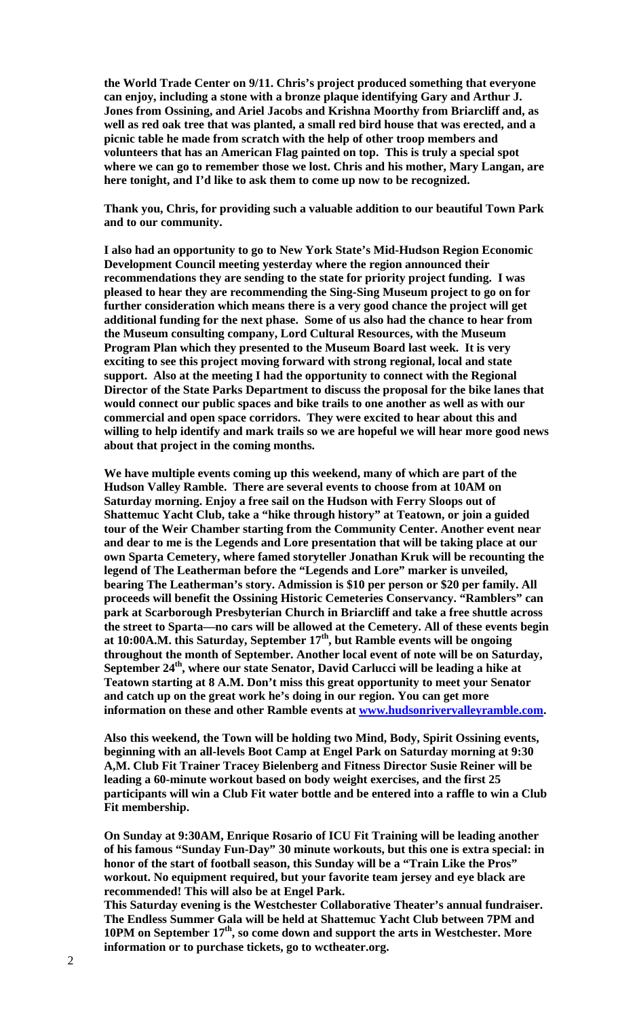**the World Trade Center on 9/11. Chris's project produced something that everyone can enjoy, including a stone with a bronze plaque identifying Gary and Arthur J. Jones from Ossining, and Ariel Jacobs and Krishna Moorthy from Briarcliff and, as well as red oak tree that was planted, a small red bird house that was erected, and a picnic table he made from scratch with the help of other troop members and volunteers that has an American Flag painted on top. This is truly a special spot where we can go to remember those we lost. Chris and his mother, Mary Langan, are here tonight, and I'd like to ask them to come up now to be recognized.** 

**Thank you, Chris, for providing such a valuable addition to our beautiful Town Park and to our community.** 

**I also had an opportunity to go to New York State's Mid-Hudson Region Economic Development Council meeting yesterday where the region announced their recommendations they are sending to the state for priority project funding. I was pleased to hear they are recommending the Sing-Sing Museum project to go on for further consideration which means there is a very good chance the project will get additional funding for the next phase. Some of us also had the chance to hear from the Museum consulting company, Lord Cultural Resources, with the Museum Program Plan which they presented to the Museum Board last week. It is very exciting to see this project moving forward with strong regional, local and state support. Also at the meeting I had the opportunity to connect with the Regional Director of the State Parks Department to discuss the proposal for the bike lanes that would connect our public spaces and bike trails to one another as well as with our commercial and open space corridors. They were excited to hear about this and willing to help identify and mark trails so we are hopeful we will hear more good news about that project in the coming months.** 

**We have multiple events coming up this weekend, many of which are part of the Hudson Valley Ramble. There are several events to choose from at 10AM on Saturday morning. Enjoy a free sail on the Hudson with Ferry Sloops out of Shattemuc Yacht Club, take a "hike through history" at Teatown, or join a guided tour of the Weir Chamber starting from the Community Center. Another event near and dear to me is the Legends and Lore presentation that will be taking place at our own Sparta Cemetery, where famed storyteller Jonathan Kruk will be recounting the legend of The Leatherman before the "Legends and Lore" marker is unveiled, bearing The Leatherman's story. Admission is \$10 per person or \$20 per family. All proceeds will benefit the Ossining Historic Cemeteries Conservancy. "Ramblers" can park at Scarborough Presbyterian Church in Briarcliff and take a free shuttle across the street to Sparta—no cars will be allowed at the Cemetery. All of these events begin at 10:00A.M. this Saturday, September 17th, but Ramble events will be ongoing throughout the month of September. Another local event of note will be on Saturday,**  September 24<sup>th</sup>, where our state Senator, David Carlucci will be leading a hike at **Teatown starting at 8 A.M. Don't miss this great opportunity to meet your Senator and catch up on the great work he's doing in our region. You can get more information on these and other Ramble events at www.hudsonrivervalleyramble.com.** 

**Also this weekend, the Town will be holding two Mind, Body, Spirit Ossining events, beginning with an all-levels Boot Camp at Engel Park on Saturday morning at 9:30 A,M. Club Fit Trainer Tracey Bielenberg and Fitness Director Susie Reiner will be leading a 60-minute workout based on body weight exercises, and the first 25 participants will win a Club Fit water bottle and be entered into a raffle to win a Club Fit membership.** 

**On Sunday at 9:30AM, Enrique Rosario of ICU Fit Training will be leading another of his famous "Sunday Fun-Day" 30 minute workouts, but this one is extra special: in honor of the start of football season, this Sunday will be a "Train Like the Pros" workout. No equipment required, but your favorite team jersey and eye black are recommended! This will also be at Engel Park.** 

**This Saturday evening is the Westchester Collaborative Theater's annual fundraiser. The Endless Summer Gala will be held at Shattemuc Yacht Club between 7PM and 10PM on September 17th, so come down and support the arts in Westchester. More information or to purchase tickets, go to wctheater.org.**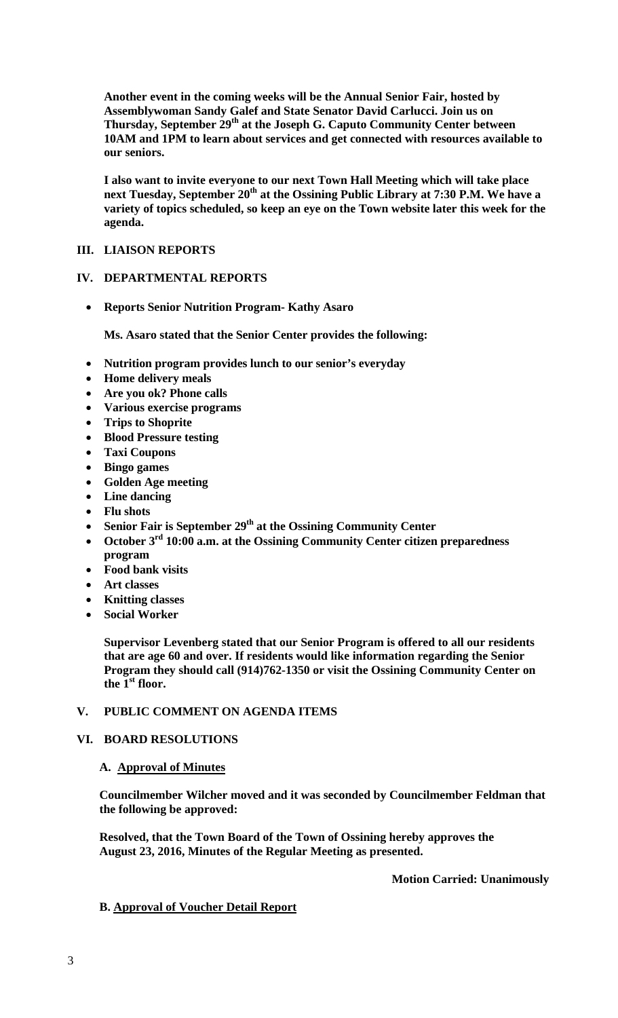**Another event in the coming weeks will be the Annual Senior Fair, hosted by Assemblywoman Sandy Galef and State Senator David Carlucci. Join us on Thursday, September 29th at the Joseph G. Caputo Community Center between 10AM and 1PM to learn about services and get connected with resources available to our seniors.** 

**I also want to invite everyone to our next Town Hall Meeting which will take place next Tuesday, September 20th at the Ossining Public Library at 7:30 P.M. We have a variety of topics scheduled, so keep an eye on the Town website later this week for the agenda.** 

### **III. LIAISON REPORTS**

### **IV. DEPARTMENTAL REPORTS**

**Reports Senior Nutrition Program- Kathy Asaro** 

**Ms. Asaro stated that the Senior Center provides the following:** 

- **Nutrition program provides lunch to our senior's everyday**
- **Home delivery meals**
- **Are you ok? Phone calls**
- **Various exercise programs**
- **Trips to Shoprite**
- **Blood Pressure testing**
- **Taxi Coupons**
- **Bingo games**
- **Golden Age meeting**
- **Line dancing**
- **Flu shots**
- Senior Fair is September 29<sup>th</sup> at the Ossining Community Center
- **October 3rd 10:00 a.m. at the Ossining Community Center citizen preparedness program**
- **Food bank visits**
- **Art classes**
- **Knitting classes**
- **Social Worker**

**Supervisor Levenberg stated that our Senior Program is offered to all our residents that are age 60 and over. If residents would like information regarding the Senior Program they should call (914)762-1350 or visit the Ossining Community Center on**  the  $I<sup>st</sup>$  floor.

# **V. PUBLIC COMMENT ON AGENDA ITEMS**

# **VI. BOARD RESOLUTIONS**

### **A. Approval of Minutes**

**Councilmember Wilcher moved and it was seconded by Councilmember Feldman that the following be approved:** 

**Resolved, that the Town Board of the Town of Ossining hereby approves the August 23, 2016, Minutes of the Regular Meeting as presented.** 

 **Motion Carried: Unanimously** 

# **B. Approval of Voucher Detail Report**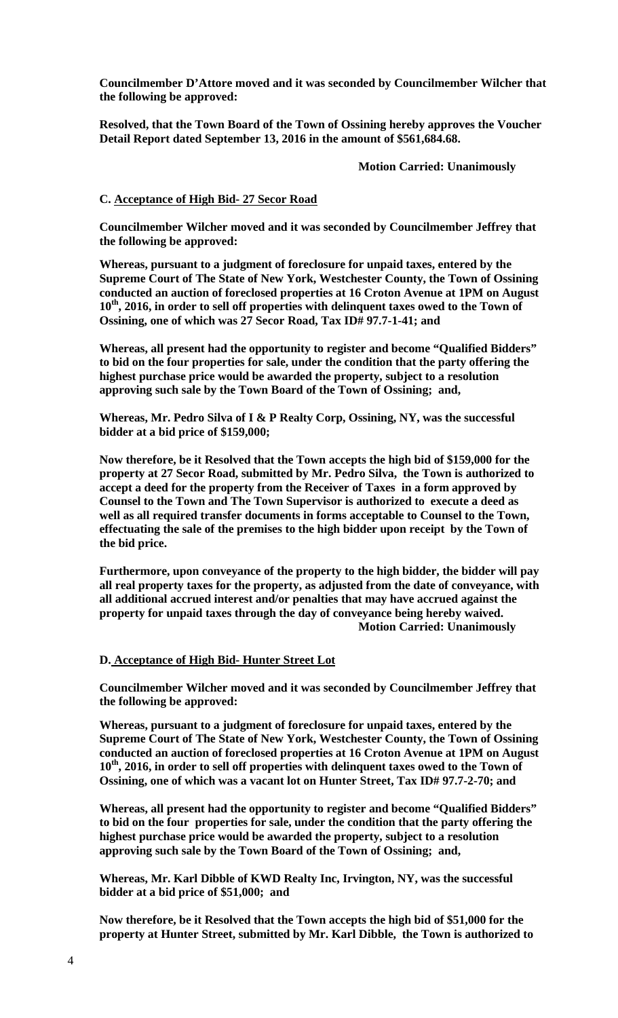**Councilmember D'Attore moved and it was seconded by Councilmember Wilcher that the following be approved:** 

**Resolved, that the Town Board of the Town of Ossining hereby approves the Voucher Detail Report dated September 13, 2016 in the amount of \$561,684.68.** 

 **Motion Carried: Unanimously**

#### **C. Acceptance of High Bid- 27 Secor Road**

**Councilmember Wilcher moved and it was seconded by Councilmember Jeffrey that the following be approved:** 

**Whereas, pursuant to a judgment of foreclosure for unpaid taxes, entered by the Supreme Court of The State of New York, Westchester County, the Town of Ossining conducted an auction of foreclosed properties at 16 Croton Avenue at 1PM on August**  10<sup>th</sup>, 2016, in order to sell off properties with delinquent taxes owed to the Town of **Ossining, one of which was 27 Secor Road, Tax ID# 97.7-1-41; and**

**Whereas, all present had the opportunity to register and become "Qualified Bidders" to bid on the four properties for sale, under the condition that the party offering the highest purchase price would be awarded the property, subject to a resolution approving such sale by the Town Board of the Town of Ossining; and,**

**Whereas, Mr. Pedro Silva of I & P Realty Corp, Ossining, NY, was the successful bidder at a bid price of \$159,000;** 

**Now therefore, be it Resolved that the Town accepts the high bid of \$159,000 for the property at 27 Secor Road, submitted by Mr. Pedro Silva, the Town is authorized to accept a deed for the property from the Receiver of Taxes in a form approved by Counsel to the Town and The Town Supervisor is authorized to execute a deed as well as all required transfer documents in forms acceptable to Counsel to the Town, effectuating the sale of the premises to the high bidder upon receipt by the Town of the bid price.**

**Furthermore, upon conveyance of the property to the high bidder, the bidder will pay all real property taxes for the property, as adjusted from the date of conveyance, with all additional accrued interest and/or penalties that may have accrued against the property for unpaid taxes through the day of conveyance being hereby waived. Motion Carried: Unanimously**

#### **D. Acceptance of High Bid- Hunter Street Lot**

**Councilmember Wilcher moved and it was seconded by Councilmember Jeffrey that the following be approved:** 

**Whereas, pursuant to a judgment of foreclosure for unpaid taxes, entered by the Supreme Court of The State of New York, Westchester County, the Town of Ossining conducted an auction of foreclosed properties at 16 Croton Avenue at 1PM on August**  10<sup>th</sup>, 2016, in order to sell off properties with delinquent taxes owed to the Town of **Ossining, one of which was a vacant lot on Hunter Street, Tax ID# 97.7-2-70; and**

**Whereas, all present had the opportunity to register and become "Qualified Bidders" to bid on the four properties for sale, under the condition that the party offering the highest purchase price would be awarded the property, subject to a resolution approving such sale by the Town Board of the Town of Ossining; and,**

**Whereas, Mr. Karl Dibble of KWD Realty Inc, Irvington, NY, was the successful bidder at a bid price of \$51,000; and**

**Now therefore, be it Resolved that the Town accepts the high bid of \$51,000 for the property at Hunter Street, submitted by Mr. Karl Dibble, the Town is authorized to**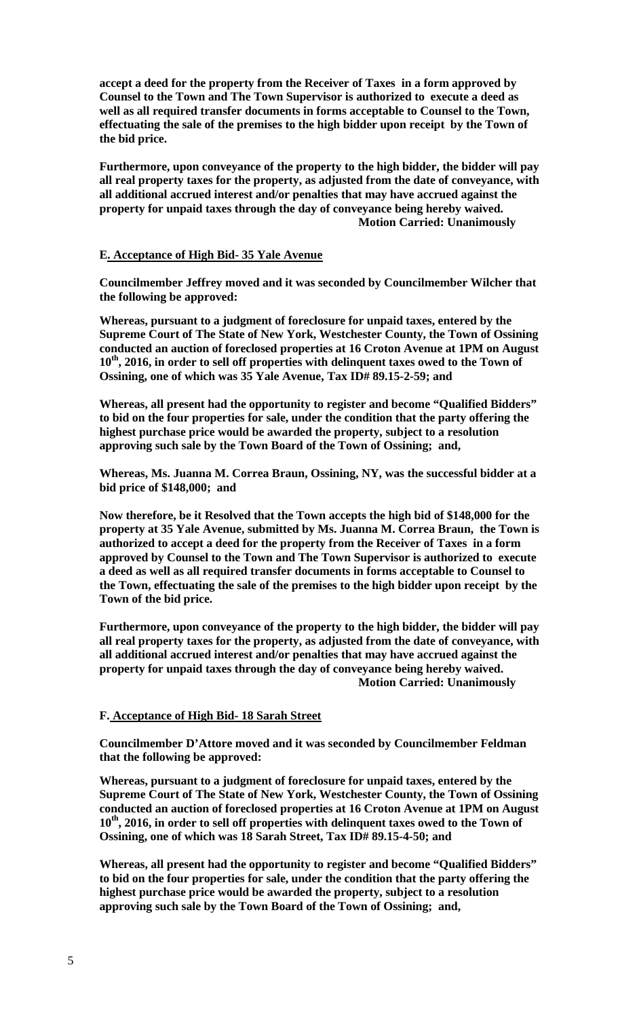**accept a deed for the property from the Receiver of Taxes in a form approved by Counsel to the Town and The Town Supervisor is authorized to execute a deed as well as all required transfer documents in forms acceptable to Counsel to the Town, effectuating the sale of the premises to the high bidder upon receipt by the Town of the bid price.**

**Furthermore, upon conveyance of the property to the high bidder, the bidder will pay all real property taxes for the property, as adjusted from the date of conveyance, with all additional accrued interest and/or penalties that may have accrued against the property for unpaid taxes through the day of conveyance being hereby waived. Motion Carried: Unanimously**

#### **E. Acceptance of High Bid- 35 Yale Avenue**

**Councilmember Jeffrey moved and it was seconded by Councilmember Wilcher that the following be approved:** 

**Whereas, pursuant to a judgment of foreclosure for unpaid taxes, entered by the Supreme Court of The State of New York, Westchester County, the Town of Ossining conducted an auction of foreclosed properties at 16 Croton Avenue at 1PM on August**  10<sup>th</sup>, 2016, in order to sell off properties with delinquent taxes owed to the Town of **Ossining, one of which was 35 Yale Avenue, Tax ID# 89.15-2-59; and**

**Whereas, all present had the opportunity to register and become "Qualified Bidders" to bid on the four properties for sale, under the condition that the party offering the highest purchase price would be awarded the property, subject to a resolution approving such sale by the Town Board of the Town of Ossining; and,**

**Whereas, Ms. Juanna M. Correa Braun, Ossining, NY, was the successful bidder at a bid price of \$148,000; and**

**Now therefore, be it Resolved that the Town accepts the high bid of \$148,000 for the property at 35 Yale Avenue, submitted by Ms. Juanna M. Correa Braun, the Town is authorized to accept a deed for the property from the Receiver of Taxes in a form approved by Counsel to the Town and The Town Supervisor is authorized to execute a deed as well as all required transfer documents in forms acceptable to Counsel to the Town, effectuating the sale of the premises to the high bidder upon receipt by the Town of the bid price.**

**Furthermore, upon conveyance of the property to the high bidder, the bidder will pay all real property taxes for the property, as adjusted from the date of conveyance, with all additional accrued interest and/or penalties that may have accrued against the property for unpaid taxes through the day of conveyance being hereby waived. Motion Carried: Unanimously**

#### **F. Acceptance of High Bid- 18 Sarah Street**

**Councilmember D'Attore moved and it was seconded by Councilmember Feldman that the following be approved:** 

**Whereas, pursuant to a judgment of foreclosure for unpaid taxes, entered by the Supreme Court of The State of New York, Westchester County, the Town of Ossining conducted an auction of foreclosed properties at 16 Croton Avenue at 1PM on August**  10<sup>th</sup>, 2016, in order to sell off properties with delinquent taxes owed to the Town of **Ossining, one of which was 18 Sarah Street, Tax ID# 89.15-4-50; and**

**Whereas, all present had the opportunity to register and become "Qualified Bidders" to bid on the four properties for sale, under the condition that the party offering the highest purchase price would be awarded the property, subject to a resolution approving such sale by the Town Board of the Town of Ossining; and,**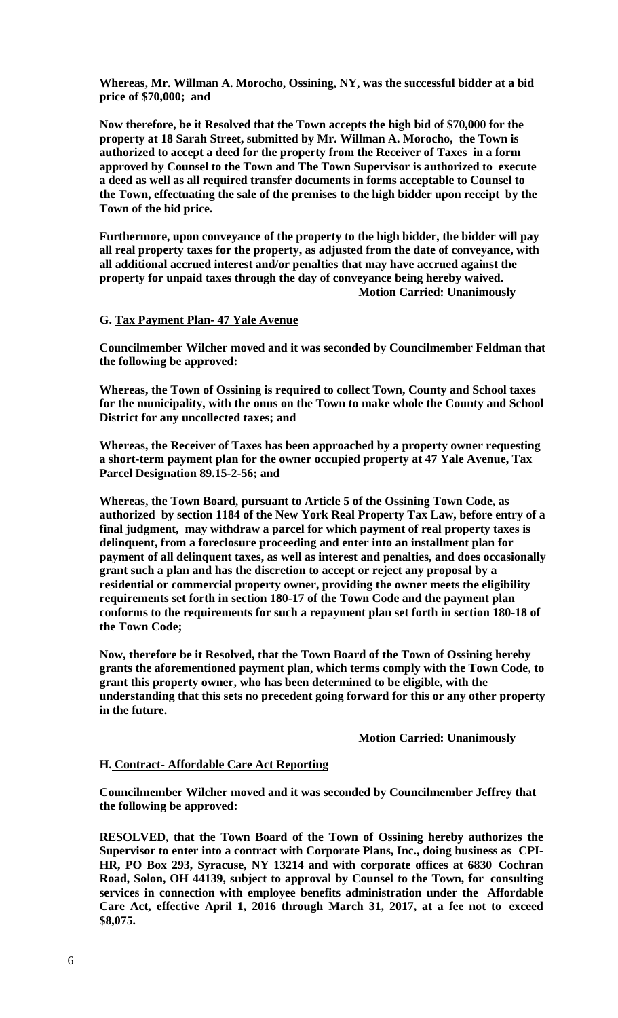**Whereas, Mr. Willman A. Morocho, Ossining, NY, was the successful bidder at a bid price of \$70,000; and**

**Now therefore, be it Resolved that the Town accepts the high bid of \$70,000 for the property at 18 Sarah Street, submitted by Mr. Willman A. Morocho, the Town is authorized to accept a deed for the property from the Receiver of Taxes in a form approved by Counsel to the Town and The Town Supervisor is authorized to execute a deed as well as all required transfer documents in forms acceptable to Counsel to the Town, effectuating the sale of the premises to the high bidder upon receipt by the Town of the bid price.**

**Furthermore, upon conveyance of the property to the high bidder, the bidder will pay all real property taxes for the property, as adjusted from the date of conveyance, with all additional accrued interest and/or penalties that may have accrued against the property for unpaid taxes through the day of conveyance being hereby waived. Motion Carried: Unanimously** 

#### **G. Tax Payment Plan- 47 Yale Avenue**

**Councilmember Wilcher moved and it was seconded by Councilmember Feldman that the following be approved:** 

**Whereas, the Town of Ossining is required to collect Town, County and School taxes for the municipality, with the onus on the Town to make whole the County and School District for any uncollected taxes; and** 

**Whereas, the Receiver of Taxes has been approached by a property owner requesting a short-term payment plan for the owner occupied property at 47 Yale Avenue, Tax Parcel Designation 89.15-2-56; and** 

**Whereas, the Town Board, pursuant to Article 5 of the Ossining Town Code, as authorized by section 1184 of the New York Real Property Tax Law, before entry of a final judgment, may withdraw a parcel for which payment of real property taxes is delinquent, from a foreclosure proceeding and enter into an installment plan for payment of all delinquent taxes, as well as interest and penalties, and does occasionally grant such a plan and has the discretion to accept or reject any proposal by a residential or commercial property owner, providing the owner meets the eligibility requirements set forth in section 180-17 of the Town Code and the payment plan conforms to the requirements for such a repayment plan set forth in section 180-18 of the Town Code;** 

**Now, therefore be it Resolved, that the Town Board of the Town of Ossining hereby grants the aforementioned payment plan, which terms comply with the Town Code, to grant this property owner, who has been determined to be eligible, with the understanding that this sets no precedent going forward for this or any other property in the future.** 

 **Motion Carried: Unanimously** 

#### **H. Contract- Affordable Care Act Reporting**

**Councilmember Wilcher moved and it was seconded by Councilmember Jeffrey that the following be approved:** 

**RESOLVED, that the Town Board of the Town of Ossining hereby authorizes the Supervisor to enter into a contract with Corporate Plans, Inc., doing business as CPI-HR, PO Box 293, Syracuse, NY 13214 and with corporate offices at 6830 Cochran Road, Solon, OH 44139, subject to approval by Counsel to the Town, for consulting services in connection with employee benefits administration under the Affordable Care Act, effective April 1, 2016 through March 31, 2017, at a fee not to exceed \$8,075.**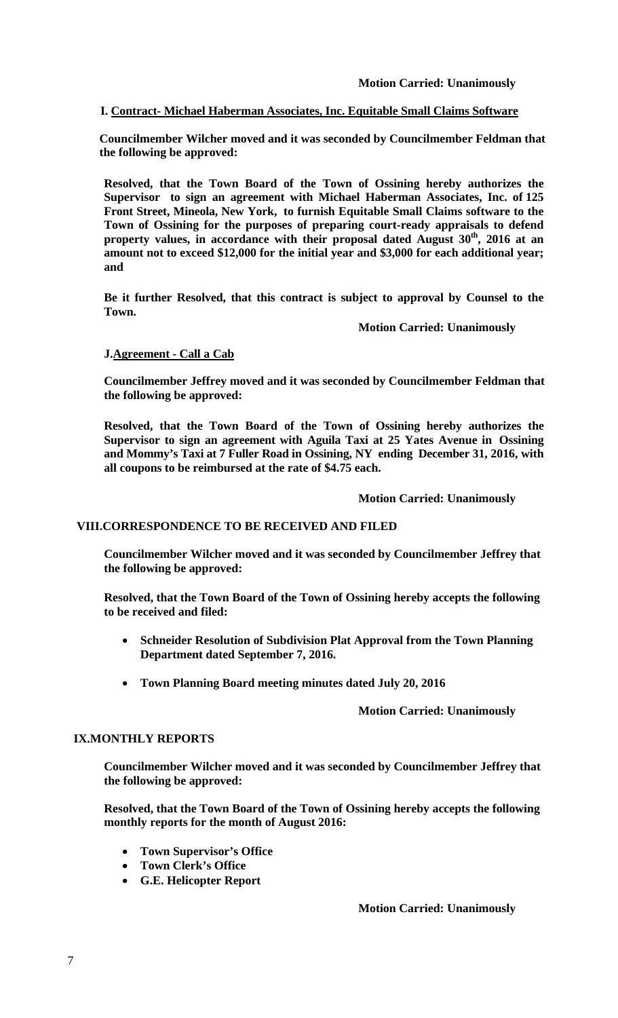# **I. Contract- Michael Haberman Associates, Inc. Equitable Small Claims Software**

**Councilmember Wilcher moved and it was seconded by Councilmember Feldman that the following be approved:** 

**Resolved, that the Town Board of the Town of Ossining hereby authorizes the Supervisor to sign an agreement with Michael Haberman Associates, Inc. of 125 Front Street, Mineola, New York, to furnish Equitable Small Claims software to the Town of Ossining for the purposes of preparing court-ready appraisals to defend**  property values, in accordance with their proposal dated August 30<sup>th</sup>, 2016 at an **amount not to exceed \$12,000 for the initial year and \$3,000 for each additional year; and** 

**Be it further Resolved, that this contract is subject to approval by Counsel to the Town.** 

 **Motion Carried: Unanimously** 

# **J.Agreement - Call a Cab**

**Councilmember Jeffrey moved and it was seconded by Councilmember Feldman that the following be approved:** 

**Resolved, that the Town Board of the Town of Ossining hereby authorizes the Supervisor to sign an agreement with Aguila Taxi at 25 Yates Avenue in Ossining and Mommy's Taxi at 7 Fuller Road in Ossining, NY ending December 31, 2016, with all coupons to be reimbursed at the rate of \$4.75 each.** 

### **Motion Carried: Unanimously**

### **VIII.CORRESPONDENCE TO BE RECEIVED AND FILED**

**Councilmember Wilcher moved and it was seconded by Councilmember Jeffrey that the following be approved:** 

**Resolved, that the Town Board of the Town of Ossining hereby accepts the following to be received and filed:** 

- **Schneider Resolution of Subdivision Plat Approval from the Town Planning Department dated September 7, 2016.**
- **Town Planning Board meeting minutes dated July 20, 2016**

### **Motion Carried: Unanimously**

### **IX.MONTHLY REPORTS**

**Councilmember Wilcher moved and it was seconded by Councilmember Jeffrey that the following be approved:** 

**Resolved, that the Town Board of the Town of Ossining hereby accepts the following monthly reports for the month of August 2016:** 

- **Town Supervisor's Office**
- **Town Clerk's Office**
- **G.E. Helicopter Report**

 **Motion Carried: Unanimously**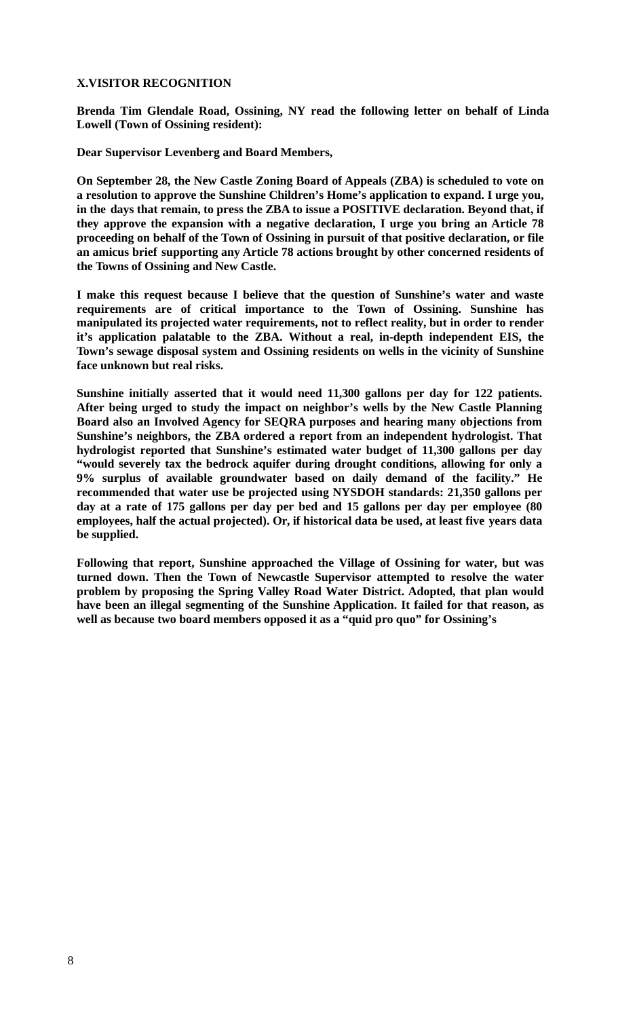# **X.VISITOR RECOGNITION**

**Brenda Tim Glendale Road, Ossining, NY read the following letter on behalf of Linda Lowell (Town of Ossining resident):** 

**Dear Supervisor Levenberg and Board Members,** 

**On September 28, the New Castle Zoning Board of Appeals (ZBA) is scheduled to vote on a resolution to approve the Sunshine Children's Home's application to expand. I urge you, in the days that remain, to press the ZBA to issue a POSITIVE declaration. Beyond that, if they approve the expansion with a negative declaration, I urge you bring an Article 78 proceeding on behalf of the Town of Ossining in pursuit of that positive declaration, or file an amicus brief supporting any Article 78 actions brought by other concerned residents of the Towns of Ossining and New Castle.** 

**I make this request because I believe that the question of Sunshine's water and waste requirements are of critical importance to the Town of Ossining. Sunshine has manipulated its projected water requirements, not to reflect reality, but in order to render it's application palatable to the ZBA. Without a real, in-depth independent EIS, the Town's sewage disposal system and Ossining residents on wells in the vicinity of Sunshine face unknown but real risks.** 

**Sunshine initially asserted that it would need 11,300 gallons per day for 122 patients. After being urged to study the impact on neighbor's wells by the New Castle Planning Board also an Involved Agency for SEQRA purposes and hearing many objections from Sunshine's neighbors, the ZBA ordered a report from an independent hydrologist. That hydrologist reported that Sunshine's estimated water budget of 11,300 gallons per day "would severely tax the bedrock aquifer during drought conditions, allowing for only a 9% surplus of available groundwater based on daily demand of the facility." He recommended that water use be projected using NYSDOH standards: 21,350 gallons per day at a rate of 175 gallons per day per bed and 15 gallons per day per employee (80 employees, half the actual projected). Or, if historical data be used, at least five years data be supplied.** 

**Following that report, Sunshine approached the Village of Ossining for water, but was turned down. Then the Town of Newcastle Supervisor attempted to resolve the water problem by proposing the Spring Valley Road Water District. Adopted, that plan would have been an illegal segmenting of the Sunshine Application. It failed for that reason, as well as because two board members opposed it as a "quid pro quo" for Ossining's**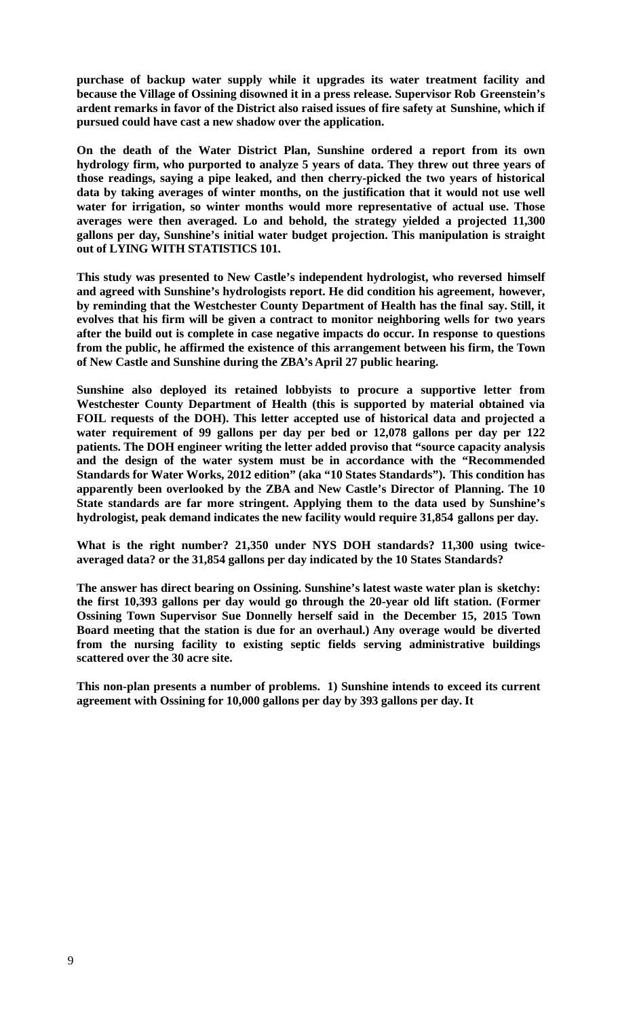**purchase of backup water supply while it upgrades its water treatment facility and because the Village of Ossining disowned it in a press release. Supervisor Rob Greenstein's ardent remarks in favor of the District also raised issues of fire safety at Sunshine, which if pursued could have cast a new shadow over the application.** 

**On the death of the Water District Plan, Sunshine ordered a report from its own hydrology firm, who purported to analyze 5 years of data. They threw out three years of those readings, saying a pipe leaked, and then cherry-picked the two years of historical data by taking averages of winter months, on the justification that it would not use well water for irrigation, so winter months would more representative of actual use. Those averages were then averaged. Lo and behold, the strategy yielded a projected 11,300 gallons per day, Sunshine's initial water budget projection. This manipulation is straight out of LYING WITH STATISTICS 101.** 

**This study was presented to New Castle's independent hydrologist, who reversed himself and agreed with Sunshine's hydrologists report. He did condition his agreement, however, by reminding that the Westchester County Department of Health has the final say. Still, it evolves that his firm will be given a contract to monitor neighboring wells for two years after the build out is complete in case negative impacts do occur. In response to questions from the public, he affirmed the existence of this arrangement between his firm, the Town of New Castle and Sunshine during the ZBA's April 27 public hearing.** 

**Sunshine also deployed its retained lobbyists to procure a supportive letter from Westchester County Department of Health (this is supported by material obtained via FOIL requests of the DOH). This letter accepted use of historical data and projected a water requirement of 99 gallons per day per bed or 12,078 gallons per day per 122 patients. The DOH engineer writing the letter added proviso that "source capacity analysis and the design of the water system must be in accordance with the "Recommended Standards for Water Works, 2012 edition" (aka "10 States Standards"). This condition has apparently been overlooked by the ZBA and New Castle's Director of Planning. The 10 State standards are far more stringent. Applying them to the data used by Sunshine's hydrologist, peak demand indicates the new facility would require 31,854 gallons per day.** 

**What is the right number? 21,350 under NYS DOH standards? 11,300 using twiceaveraged data? or the 31,854 gallons per day indicated by the 10 States Standards?** 

**The answer has direct bearing on Ossining. Sunshine's latest waste water plan is sketchy: the first 10,393 gallons per day would go through the 20-year old lift station. (Former Ossining Town Supervisor Sue Donnelly herself said in the December 15, 2015 Town Board meeting that the station is due for an overhaul.) Any overage would be diverted from the nursing facility to existing septic fields serving administrative buildings scattered over the 30 acre site.** 

**This non-plan presents a number of problems. 1) Sunshine intends to exceed its current agreement with Ossining for 10,000 gallons per day by 393 gallons per day. It**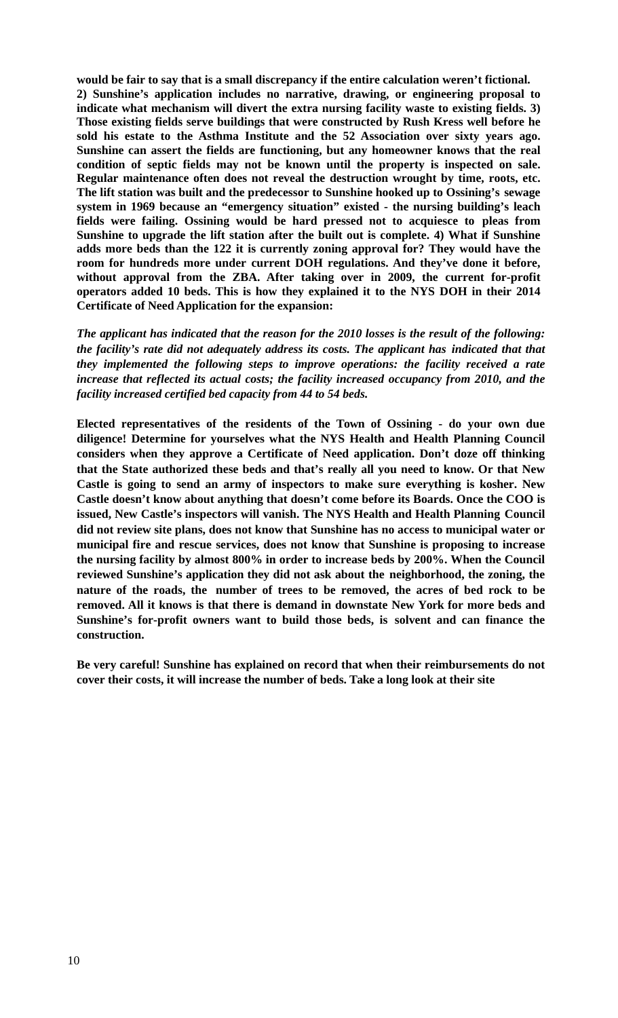**would be fair to say that is a small discrepancy if the entire calculation weren't fictional. 2) Sunshine's application includes no narrative, drawing, or engineering proposal to indicate what mechanism will divert the extra nursing facility waste to existing fields. 3) Those existing fields serve buildings that were constructed by Rush Kress well before he sold his estate to the Asthma Institute and the 52 Association over sixty years ago. Sunshine can assert the fields are functioning, but any homeowner knows that the real condition of septic fields may not be known until the property is inspected on sale. Regular maintenance often does not reveal the destruction wrought by time, roots, etc. The lift station was built and the predecessor to Sunshine hooked up to Ossining's sewage system in 1969 because an "emergency situation" existed - the nursing building's leach fields were failing. Ossining would be hard pressed not to acquiesce to pleas from Sunshine to upgrade the lift station after the built out is complete. 4) What if Sunshine adds more beds than the 122 it is currently zoning approval for? They would have the room for hundreds more under current DOH regulations. And they've done it before, without approval from the ZBA. After taking over in 2009, the current for-profit operators added 10 beds. This is how they explained it to the NYS DOH in their 2014 Certificate of Need Application for the expansion:** 

*The applicant has indicated that the reason for the 2010 losses is the result of the following: the facility's rate did not adequately address its costs. The applicant has indicated that that they implemented the following steps to improve operations: the facility received a rate increase that reflected its actual costs; the facility increased occupancy from 2010, and the facility increased certified bed capacity from 44 to 54 beds.*

**Elected representatives of the residents of the Town of Ossining - do your own due diligence! Determine for yourselves what the NYS Health and Health Planning Council considers when they approve a Certificate of Need application. Don't doze off thinking that the State authorized these beds and that's really all you need to know. Or that New Castle is going to send an army of inspectors to make sure everything is kosher. New Castle doesn't know about anything that doesn't come before its Boards. Once the COO is issued, New Castle's inspectors will vanish. The NYS Health and Health Planning Council did not review site plans, does not know that Sunshine has no access to municipal water or municipal fire and rescue services, does not know that Sunshine is proposing to increase the nursing facility by almost 800% in order to increase beds by 200%. When the Council reviewed Sunshine's application they did not ask about the neighborhood, the zoning, the nature of the roads, the number of trees to be removed, the acres of bed rock to be removed. All it knows is that there is demand in downstate New York for more beds and Sunshine's for-profit owners want to build those beds, is solvent and can finance the construction.** 

**Be very careful! Sunshine has explained on record that when their reimbursements do not cover their costs, it will increase the number of beds. Take a long look at their site**